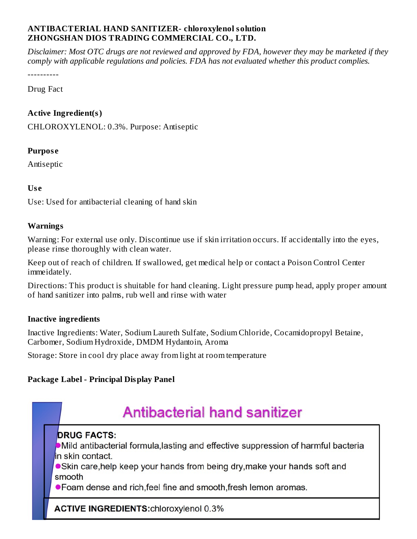#### **ANTIBACTERIAL HAND SANITIZER- chloroxylenol solution ZHONGSHAN DIOS TRADING COMMERCIAL CO., LTD.**

Disclaimer: Most OTC drugs are not reviewed and approved by FDA, however they may be marketed if they *comply with applicable regulations and policies. FDA has not evaluated whether this product complies.*

----------

Drug Fact

#### **Active Ingredient(s)**

CHLOROXYLENOL: 0.3%. Purpose: Antiseptic

#### **Purpos e**

Antiseptic

#### **Us e**

Use: Used for antibacterial cleaning of hand skin

#### **Warnings**

Warning: For external use only. Discontinue use if skin irritation occurs. If accidentally into the eyes, please rinse thoroughly with clean water.

Keep out of reach of children. If swallowed, get medical help or contact a Poison Control Center immeidately.

Directions: This product is shuitable for hand cleaning. Light pressure pump head, apply proper amount of hand sanitizer into palms, rub well and rinse with water

#### **Inactive ingredients**

Inactive Ingredients: Water, Sodium Laureth Sulfate, Sodium Chloride, Cocamidopropyl Betaine, Carbomer, Sodium Hydroxide, DMDM Hydantoin, Aroma

Storage: Store in cool dry place away from light at room temperature

#### **Package Label - Principal Display Panel**

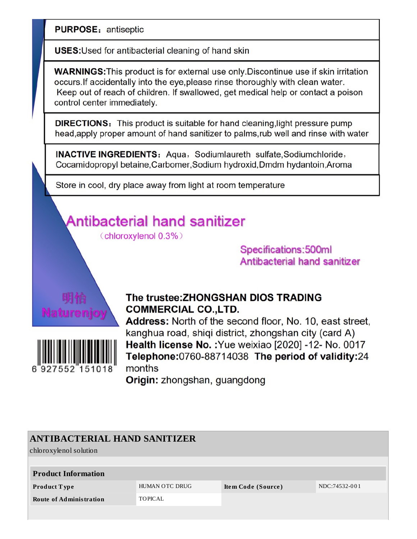**PURPOSE: antiseptic** 

**USES:** Used for antibacterial cleaning of hand skin

**WARNINGS:** This product is for external use only. Discontinue use if skin irritation occurs. If accidentally into the eye, please rinse thoroughly with clean water. Keep out of reach of children. If swallowed, get medical help or contact a poison control center immediately.

**DIRECTIONS:** This product is suitable for hand cleaning, light pressure pump head, apply proper amount of hand sanitizer to palms, rub well and rinse with water

**INACTIVE INGREDIENTS:** Aqua, Sodiumlaureth sulfate, Sodiumchloride, Cocamidopropyl betaine, Carbomer, Sodium hydroxid, Dmdm hydantoin, Aroma

Store in cool, dry place away from light at room temperature

# Antibacterial hand sanitizer

(chloroxylenol 0.3%)

Specifications: 500ml **Antibacterial hand sanitizer** 





### The trustee: ZHONGSHAN DIOS TRADING **COMMERCIAL CO., LTD.**

**Address:** North of the second floor, No. 10, east street, kanghua road, shiqi district, zhongshan city (card A) Health license No. : Yue weixiao [2020] -12- No. 0017 Telephone: 0760-88714038 The period of validity: 24 months

Origin: zhongshan, guangdong

| <b>ANTIBACTERIAL HAND SANITIZER</b> |                |                    |               |  |  |  |  |  |  |
|-------------------------------------|----------------|--------------------|---------------|--|--|--|--|--|--|
| chloroxylenol solution              |                |                    |               |  |  |  |  |  |  |
|                                     |                |                    |               |  |  |  |  |  |  |
| <b>Product Information</b>          |                |                    |               |  |  |  |  |  |  |
| <b>Product Type</b>                 | HUMAN OTC DRUG | Item Code (Source) | NDC:74532-001 |  |  |  |  |  |  |
| <b>Route of Administration</b>      | TOPICAL        |                    |               |  |  |  |  |  |  |
|                                     |                |                    |               |  |  |  |  |  |  |